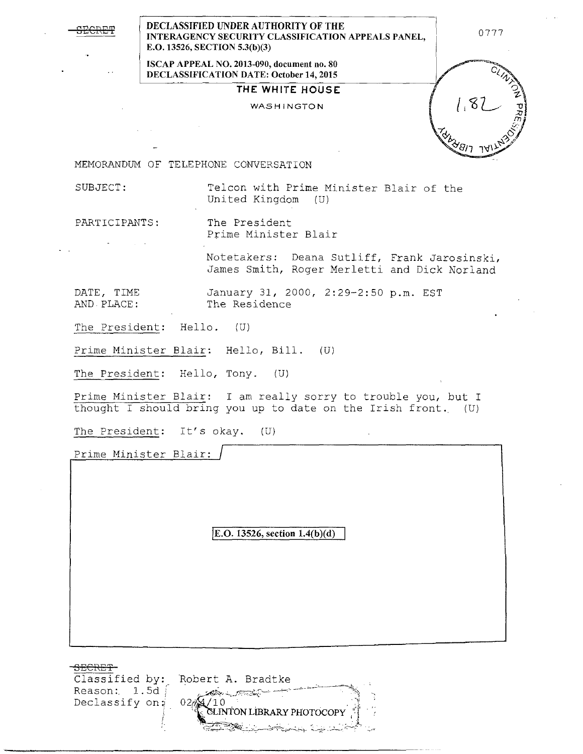| ٦<br>т.<br>п.<br>c. |
|---------------------|
|                     |
|                     |

**DECLASSIFIED UNDER AUTHORITY OF THE INTERAGENCY SECURITY CLASSIFICATION APPEALS PANEL, E.O. 13526, SECTION 5.3(b)(3)** 

**ISCAP APPEAL NO. 2013-090, document no. 80 DECLASSIFICATION DATE: October 14, 2015** 

**THE WHITE HOUSE** 

## WASHINGTON

0777

MEMORANDUM OF TELEPHONE CONVERSATION

SUBJECT: Telcon with Prime Minister Blair of the United Kingdom (U)

PARTICIPANTS: The President Prime Minister Blair

> Notetakers: Deana Sutliff, Frank Jarosinski, James Smith, Roger Merletti and Dick Norland

DATE, TIME January 31, 2000, 2:29-2:50 p.m. EST<br>AND PLACE: The Residence The Residence

The President: Hello. (U)

Prime Minister Blair: Hello, Bill. (U)

The President: Hello, Tony. (U)

Prime Minister Blair: I am really sorry to trouble you, but I thought I should bring you up to date on the Irish front. (U)

The President: It's okay. (U)

Prime Minister Blair:

**jE.O. 13526, section 1.4(b)(d)** 

3ECRE'f Classified by: Robert A. Bradtke Reason: 1.5d المخ<del>در المحمول المحافظة</del> Declassify on:  $02$ 1 O **ELINTON LIBRARY PHOTOCOPY**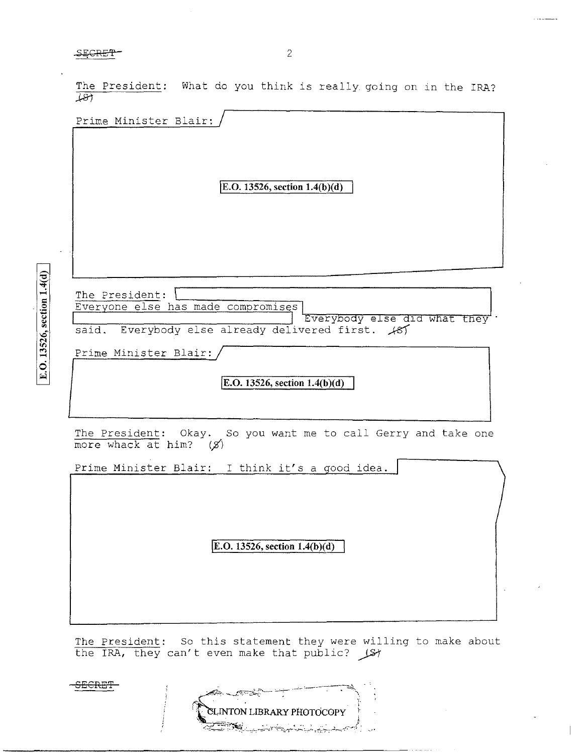$S<sub>E</sub>$ CRE $T$  2

ا ج

The President: What do you think is really going on in the IRA?  $\sqrt{81}$ 

|       | E.O. 13526, section $1.4(b)(d)$                                             |
|-------|-----------------------------------------------------------------------------|
|       |                                                                             |
|       | The President:<br>Everyone else has made compromises                        |
| said. | Everybody else did what they<br>Everybody else already delivered first. 187 |
|       | Prime Minister Blair:                                                       |
|       | E.O. 13526, section $1.4(b)(d)$                                             |

more whack at him?  $(x)$ 

Prime Minister Blair: I think it's a good idea.

**jE.O. 13526, section 1.4(b )(d)** 

The President: So this statement they were willing to make about the IRA, they can't even make that public?  $\bigcup$ St

**SECRET** 

| <b>SLINTON LIBRARY PHOTOCOPY</b>  |  |
|-----------------------------------|--|
| والمسائف المرار والمولية للمسامحة |  |

 $1.1111$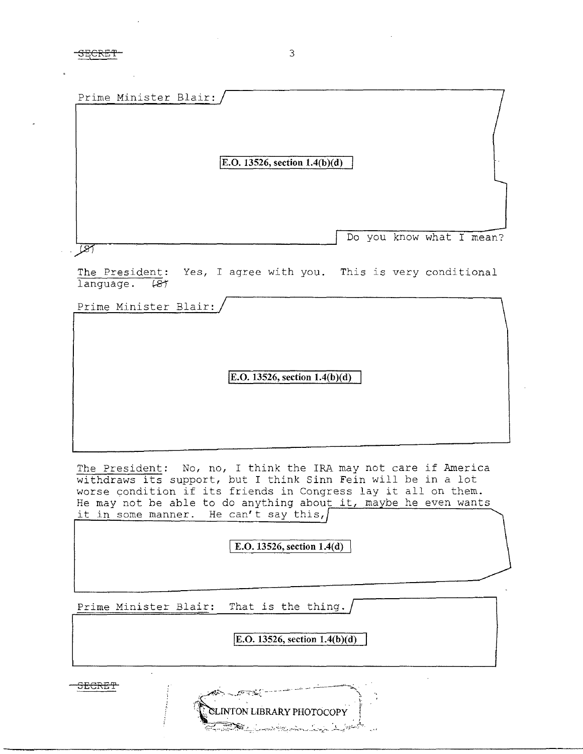| Prime Minister Blair: |                                                                |  |
|-----------------------|----------------------------------------------------------------|--|
|                       | E.O. 13526, section $1.4(b)(d)$                                |  |
|                       | Do you know what I mean?                                       |  |
| language.<br>- 187    | The President: Yes, I agree with you. This is very conditional |  |
| Prime Minister Blair: |                                                                |  |

**E.O. 13526, section 1.4(b)(d)** 

The President: No, no, I think the IRA may not care if America withdraws its support, but I think Sinn Fein will be in a lot worse condition if its friends in Congress lay it all on them. He may not be able to do anything about it, maybe he even wants it in some manner. He can't say this,

**E.O. 13526, section 1.4(d)** 

Prime Minister Blair: That is the thing.

**jE.O. 13526, section I.4(b )(d)** 

**INTON LIBRARY PHOTOCOPY** 

SECRE'l'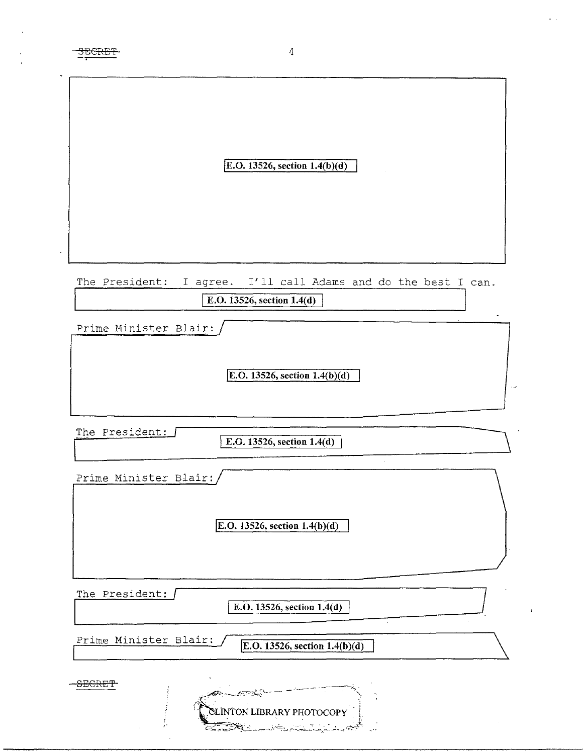| v. |
|----|
|    |

|                       | E.O. 13526, section $1.4(b)(d)$                                                  |
|-----------------------|----------------------------------------------------------------------------------|
|                       |                                                                                  |
| The President:        | I'll call Adams and do the best I can.<br>I agree.<br>E.O. 13526, section 1.4(d) |
| Prime Minister Blair: |                                                                                  |
|                       | E.O. 13526, section $1.4(b)(d)$                                                  |
| The President:        | E.O. 13526, section $1.4(d)$                                                     |
| Prime Minister Blair: |                                                                                  |
|                       | E. O. 13526, section 1.4(b)(d)                                                   |
| The President:        | E.O. 13526, section 1.4(d)<br>$\cdot$                                            |
| Prime Minister Blair: | E.O. 13526, section $1.4(b)(d)$                                                  |
| <b>SECRET</b>         |                                                                                  |